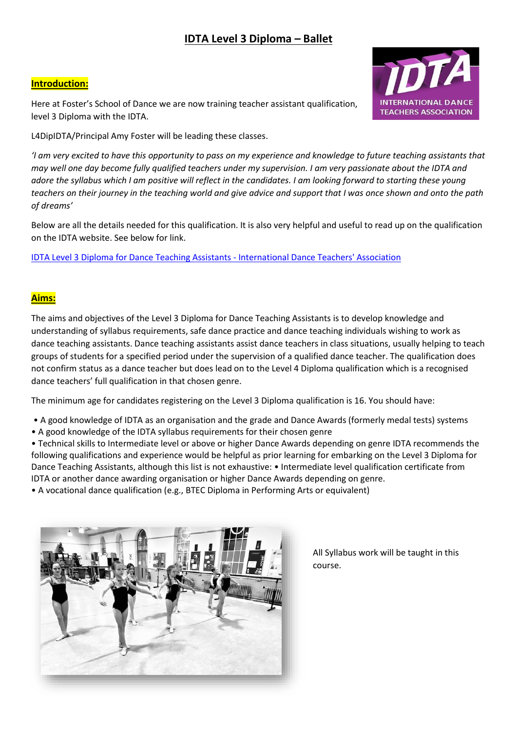## **IDTA Level 3 Diploma – Ballet**

#### **Introduction:**

Here at Foster's School of Dance we are now training teacher assistant qualification, level 3 Diploma with the IDTA.



L4DipIDTA/Principal Amy Foster will be leading these classes.

*'I am very excited to have this opportunity to pass on my experience and knowledge to future teaching assistants that may well one day become fully qualified teachers under my supervision. I am very passionate about the IDTA and adore the syllabus which I am positive will reflect in the candidates. I am looking forward to starting these young teachers on their journey in the teaching world and give advice and support that I was once shown and onto the path of dreams'* 

Below are all the details needed for this qualification. It is also very helpful and useful to read up on the qualification on the IDTA website. See below for link.

[IDTA Level 3 Diploma for Dance Teaching Assistants -](https://www.idta.co.uk/information-hub/qualifications/idta-level-3-diploma-for-dance-teaching-assistants/) International Dance Teachers' Association

### **Aims:**

The aims and objectives of the Level 3 Diploma for Dance Teaching Assistants is to develop knowledge and understanding of syllabus requirements, safe dance practice and dance teaching individuals wishing to work as dance teaching assistants. Dance teaching assistants assist dance teachers in class situations, usually helping to teach groups of students for a specified period under the supervision of a qualified dance teacher. The qualification does not confirm status as a dance teacher but does lead on to the Level 4 Diploma qualification which is a recognised dance teachers' full qualification in that chosen genre.

The minimum age for candidates registering on the Level 3 Diploma qualification is 16. You should have:

- A good knowledge of IDTA as an organisation and the grade and Dance Awards (formerly medal tests) systems
- A good knowledge of the IDTA syllabus requirements for their chosen genre

• Technical skills to Intermediate level or above or higher Dance Awards depending on genre IDTA recommends the following qualifications and experience would be helpful as prior learning for embarking on the Level 3 Diploma for Dance Teaching Assistants, although this list is not exhaustive: • Intermediate level qualification certificate from IDTA or another dance awarding organisation or higher Dance Awards depending on genre.

• A vocational dance qualification (e.g., BTEC Diploma in Performing Arts or equivalent)



All Syllabus work will be taught in this course.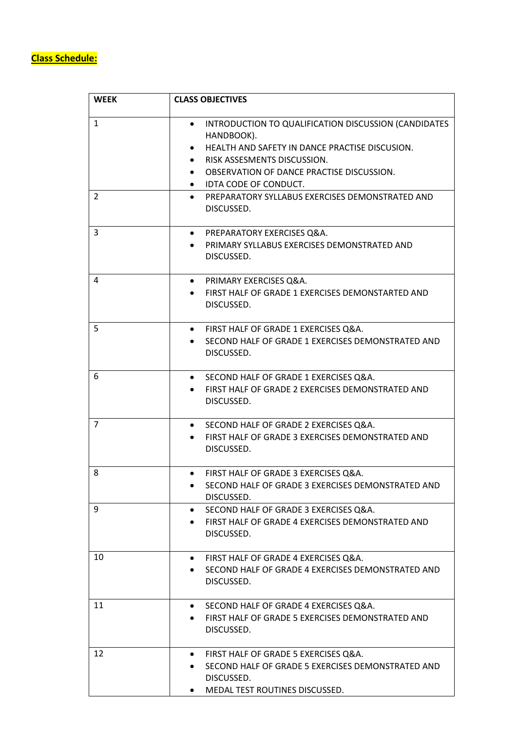# **Class Schedule:**

| <b>WEEK</b>       | <b>CLASS OBJECTIVES</b>                                                                                                                                                                                                                                                                                     |
|-------------------|-------------------------------------------------------------------------------------------------------------------------------------------------------------------------------------------------------------------------------------------------------------------------------------------------------------|
| $\mathbf{1}$<br>2 | INTRODUCTION TO QUALIFICATION DISCUSSION (CANDIDATES<br>٠<br>HANDBOOK).<br>HEALTH AND SAFETY IN DANCE PRACTISE DISCUSION.<br>RISK ASSESMENTS DISCUSSION.<br>OBSERVATION OF DANCE PRACTISE DISCUSSION.<br>IDTA CODE OF CONDUCT.<br>$\bullet$<br>PREPARATORY SYLLABUS EXERCISES DEMONSTRATED AND<br>$\bullet$ |
|                   | DISCUSSED.                                                                                                                                                                                                                                                                                                  |
| 3                 | PREPARATORY EXERCISES Q&A.<br>$\bullet$<br>PRIMARY SYLLABUS EXERCISES DEMONSTRATED AND<br>DISCUSSED.                                                                                                                                                                                                        |
| 4                 | PRIMARY EXERCISES Q&A.<br>$\bullet$<br>FIRST HALF OF GRADE 1 EXERCISES DEMONSTARTED AND<br>DISCUSSED.                                                                                                                                                                                                       |
| 5                 | FIRST HALF OF GRADE 1 EXERCISES Q&A.<br>$\bullet$<br>SECOND HALF OF GRADE 1 EXERCISES DEMONSTRATED AND<br>DISCUSSED.                                                                                                                                                                                        |
| 6                 | SECOND HALF OF GRADE 1 EXERCISES Q&A.<br>$\bullet$<br>FIRST HALF OF GRADE 2 EXERCISES DEMONSTRATED AND<br>DISCUSSED.                                                                                                                                                                                        |
| $\overline{7}$    | SECOND HALF OF GRADE 2 EXERCISES Q&A.<br>$\bullet$<br>FIRST HALF OF GRADE 3 EXERCISES DEMONSTRATED AND<br>DISCUSSED.                                                                                                                                                                                        |
| 8                 | FIRST HALF OF GRADE 3 EXERCISES Q&A.<br>SECOND HALF OF GRADE 3 EXERCISES DEMONSTRATED AND<br>DISCUSSED.                                                                                                                                                                                                     |
| 9                 | SECOND HALF OF GRADE 3 EXERCISES Q&A.<br>FIRST HALF OF GRADE 4 EXERCISES DEMONSTRATED AND<br>DISCUSSED.                                                                                                                                                                                                     |
| 10                | FIRST HALF OF GRADE 4 EXERCISES Q&A.<br>$\bullet$<br>SECOND HALF OF GRADE 4 EXERCISES DEMONSTRATED AND<br>DISCUSSED.                                                                                                                                                                                        |
| 11                | SECOND HALF OF GRADE 4 EXERCISES Q&A.<br>$\bullet$<br>FIRST HALF OF GRADE 5 EXERCISES DEMONSTRATED AND<br>DISCUSSED.                                                                                                                                                                                        |
| 12                | FIRST HALF OF GRADE 5 EXERCISES Q&A.<br>$\bullet$<br>SECOND HALF OF GRADE 5 EXERCISES DEMONSTRATED AND<br>DISCUSSED.<br>MEDAL TEST ROUTINES DISCUSSED.                                                                                                                                                      |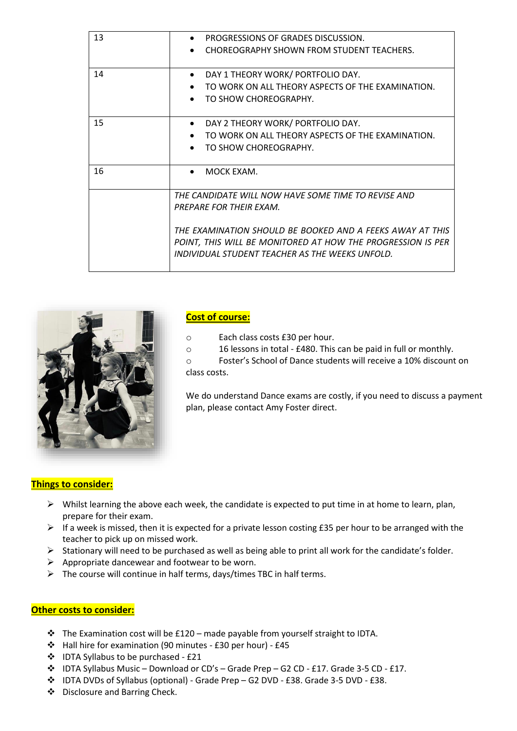| 13 | PROGRESSIONS OF GRADES DISCUSSION.<br>CHOREOGRAPHY SHOWN FROM STUDENT TEACHERS.                                                                                                                                                                               |
|----|---------------------------------------------------------------------------------------------------------------------------------------------------------------------------------------------------------------------------------------------------------------|
| 14 | DAY 1 THEORY WORK/ PORTFOLIO DAY.<br>$\bullet$<br>TO WORK ON ALL THEORY ASPECTS OF THE EXAMINATION.<br>TO SHOW CHOREOGRAPHY.                                                                                                                                  |
| 15 | DAY 2 THEORY WORK/ PORTFOLIO DAY.<br>$\bullet$<br>TO WORK ON ALL THEORY ASPECTS OF THE EXAMINATION.<br>$\bullet$<br>TO SHOW CHOREOGRAPHY.<br>$\bullet$                                                                                                        |
| 16 | MOCK EXAM.                                                                                                                                                                                                                                                    |
|    | THE CANDIDATE WILL NOW HAVE SOME TIME TO REVISE AND<br>PREPARE FOR THEIR EXAM.<br>THE EXAMINATION SHOULD BE BOOKED AND A FEEKS AWAY AT THIS<br>POINT, THIS WILL BE MONITORED AT HOW THE PROGRESSION IS PER<br>INDIVIDUAL STUDENT TEACHER AS THE WEEKS UNFOLD. |



#### **Cost of course:**

- o Each class costs £30 per hour.
- o 16 lessons in total £480. This can be paid in full or monthly.
- o Foster's School of Dance students will receive a 10% discount on class costs.

We do understand Dance exams are costly, if you need to discuss a payment plan, please contact Amy Foster direct.

#### **Things to consider:**

- $\triangleright$  Whilst learning the above each week, the candidate is expected to put time in at home to learn, plan, prepare for their exam.
- ➢ If a week is missed, then it is expected for a private lesson costing £35 per hour to be arranged with the teacher to pick up on missed work.
- ➢ Stationary will need to be purchased as well as being able to print all work for the candidate's folder.
- $\triangleright$  Appropriate dancewear and footwear to be worn.
- ➢ The course will continue in half terms, days/times TBC in half terms.

#### **Other costs to consider:**

- $\cdot \cdot$  The Examination cost will be £120 made payable from yourself straight to IDTA.
- ❖ Hall hire for examination (90 minutes £30 per hour) £45
- ❖ IDTA Syllabus to be purchased £21
- ❖ IDTA Syllabus Music Download or CD's Grade Prep G2 CD £17. Grade 3-5 CD £17.
- ❖ IDTA DVDs of Syllabus (optional) Grade Prep G2 DVD £38. Grade 3-5 DVD £38.
- ❖ Disclosure and Barring Check.